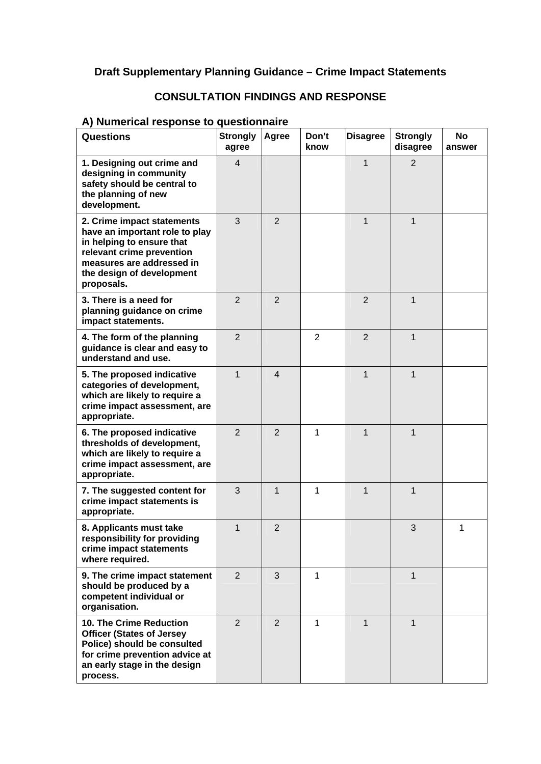### **Draft Supplementary Planning Guidance – Crime Impact Statements**

### **CONSULTATION FINDINGS AND RESPONSE**

#### **A) Numerical response to questionnaire**

| <b>Questions</b>                                                                                                                                                                               | <b>Strongly</b><br>agree | Agree          | Don't<br>know  | <b>Disagree</b> | <b>Strongly</b><br>disagree | <b>No</b><br>answer |
|------------------------------------------------------------------------------------------------------------------------------------------------------------------------------------------------|--------------------------|----------------|----------------|-----------------|-----------------------------|---------------------|
| 1. Designing out crime and<br>designing in community<br>safety should be central to<br>the planning of new<br>development.                                                                     | $\overline{\mathbf{4}}$  |                |                | 1               | $\overline{2}$              |                     |
| 2. Crime impact statements<br>have an important role to play<br>in helping to ensure that<br>relevant crime prevention<br>measures are addressed in<br>the design of development<br>proposals. | 3                        | 2              |                | $\mathbf{1}$    | $\mathbf{1}$                |                     |
| 3. There is a need for<br>planning guidance on crime<br>impact statements.                                                                                                                     | $\overline{2}$           | 2              |                | 2               | 1                           |                     |
| 4. The form of the planning<br>guidance is clear and easy to<br>understand and use.                                                                                                            | $\overline{2}$           |                | $\overline{2}$ | $\overline{2}$  | 1                           |                     |
| 5. The proposed indicative<br>categories of development,<br>which are likely to require a<br>crime impact assessment, are<br>appropriate.                                                      | $\mathbf{1}$             | $\overline{4}$ |                | 1               | 1                           |                     |
| 6. The proposed indicative<br>thresholds of development,<br>which are likely to require a<br>crime impact assessment, are<br>appropriate.                                                      | $\overline{2}$           | $\overline{2}$ | 1              | 1               | 1                           |                     |
| 7. The suggested content for<br>crime impact statements is<br>appropriate.                                                                                                                     | 3                        | $\mathbf{1}$   | 1              | $\mathbf{1}$    | $\mathbf{1}$                |                     |
| 8. Applicants must take<br>responsibility for providing<br>crime impact statements<br>where required.                                                                                          | 1                        | $\overline{2}$ |                |                 | 3                           | 1                   |
| 9. The crime impact statement<br>should be produced by a<br>competent individual or<br>organisation.                                                                                           | $\overline{2}$           | 3              | 1              |                 | 1                           |                     |
| <b>10. The Crime Reduction</b><br><b>Officer (States of Jersey</b><br>Police) should be consulted<br>for crime prevention advice at<br>an early stage in the design<br>process.                | $\overline{2}$           | 2              | 1              | $\mathbf{1}$    | $\mathbf{1}$                |                     |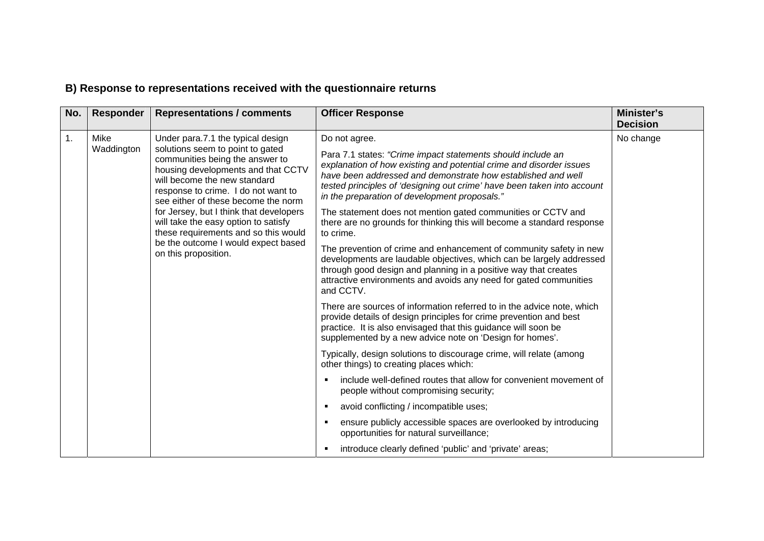## **B) Response to representations received with the questionnaire returns**

| No. | Responder          | <b>Representations / comments</b>                                                                                                                                                                                                                                                                                                                                                                                                                      | <b>Officer Response</b>                                                                                                                                                                                                                                                                                                                                                                                                                                                                                                                                                                                                                                                                                                                                                                                                                                                                                                                                                                                                                                                                                                                                                                                                                                                                                                                                                                                                              | Minister's<br><b>Decision</b> |
|-----|--------------------|--------------------------------------------------------------------------------------------------------------------------------------------------------------------------------------------------------------------------------------------------------------------------------------------------------------------------------------------------------------------------------------------------------------------------------------------------------|--------------------------------------------------------------------------------------------------------------------------------------------------------------------------------------------------------------------------------------------------------------------------------------------------------------------------------------------------------------------------------------------------------------------------------------------------------------------------------------------------------------------------------------------------------------------------------------------------------------------------------------------------------------------------------------------------------------------------------------------------------------------------------------------------------------------------------------------------------------------------------------------------------------------------------------------------------------------------------------------------------------------------------------------------------------------------------------------------------------------------------------------------------------------------------------------------------------------------------------------------------------------------------------------------------------------------------------------------------------------------------------------------------------------------------------|-------------------------------|
| 1.  | Mike<br>Waddington | Under para.7.1 the typical design<br>solutions seem to point to gated<br>communities being the answer to<br>housing developments and that CCTV<br>will become the new standard<br>response to crime. I do not want to<br>see either of these become the norm<br>for Jersey, but I think that developers<br>will take the easy option to satisfy<br>these requirements and so this would<br>be the outcome I would expect based<br>on this proposition. | Do not agree.<br>Para 7.1 states: "Crime impact statements should include an<br>explanation of how existing and potential crime and disorder issues<br>have been addressed and demonstrate how established and well<br>tested principles of 'designing out crime' have been taken into account<br>in the preparation of development proposals."<br>The statement does not mention gated communities or CCTV and<br>there are no grounds for thinking this will become a standard response<br>to crime.<br>The prevention of crime and enhancement of community safety in new<br>developments are laudable objectives, which can be largely addressed<br>through good design and planning in a positive way that creates<br>attractive environments and avoids any need for gated communities<br>and CCTV.<br>There are sources of information referred to in the advice note, which<br>provide details of design principles for crime prevention and best<br>practice. It is also envisaged that this guidance will soon be<br>supplemented by a new advice note on 'Design for homes'.<br>Typically, design solutions to discourage crime, will relate (among<br>other things) to creating places which:<br>include well-defined routes that allow for convenient movement of<br>people without compromising security;<br>avoid conflicting / incompatible uses;<br>ensure publicly accessible spaces are overlooked by introducing | No change                     |
|     |                    |                                                                                                                                                                                                                                                                                                                                                                                                                                                        | opportunities for natural surveillance;<br>introduce clearly defined 'public' and 'private' areas;                                                                                                                                                                                                                                                                                                                                                                                                                                                                                                                                                                                                                                                                                                                                                                                                                                                                                                                                                                                                                                                                                                                                                                                                                                                                                                                                   |                               |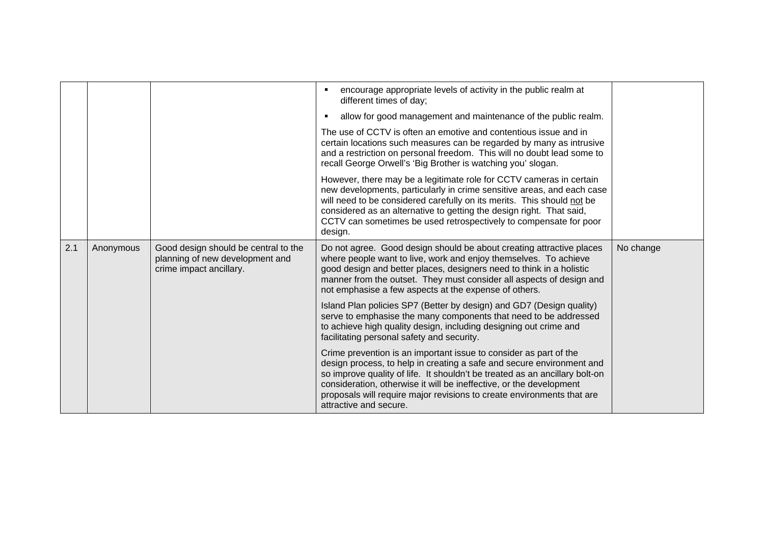|     |           |                                                                                                    | encourage appropriate levels of activity in the public realm at<br>different times of day;                                                                                                                                                                                                                                                                                                           |           |
|-----|-----------|----------------------------------------------------------------------------------------------------|------------------------------------------------------------------------------------------------------------------------------------------------------------------------------------------------------------------------------------------------------------------------------------------------------------------------------------------------------------------------------------------------------|-----------|
|     |           |                                                                                                    | allow for good management and maintenance of the public realm.                                                                                                                                                                                                                                                                                                                                       |           |
|     |           |                                                                                                    | The use of CCTV is often an emotive and contentious issue and in<br>certain locations such measures can be regarded by many as intrusive<br>and a restriction on personal freedom. This will no doubt lead some to<br>recall George Orwell's 'Big Brother is watching you' slogan.                                                                                                                   |           |
|     |           |                                                                                                    | However, there may be a legitimate role for CCTV cameras in certain<br>new developments, particularly in crime sensitive areas, and each case<br>will need to be considered carefully on its merits. This should not be<br>considered as an alternative to getting the design right. That said,<br>CCTV can sometimes be used retrospectively to compensate for poor<br>design.                      |           |
| 2.1 | Anonymous | Good design should be central to the<br>planning of new development and<br>crime impact ancillary. | Do not agree. Good design should be about creating attractive places<br>where people want to live, work and enjoy themselves. To achieve<br>good design and better places, designers need to think in a holistic<br>manner from the outset. They must consider all aspects of design and<br>not emphasise a few aspects at the expense of others.                                                    | No change |
|     |           |                                                                                                    | Island Plan policies SP7 (Better by design) and GD7 (Design quality)<br>serve to emphasise the many components that need to be addressed<br>to achieve high quality design, including designing out crime and<br>facilitating personal safety and security.                                                                                                                                          |           |
|     |           |                                                                                                    | Crime prevention is an important issue to consider as part of the<br>design process, to help in creating a safe and secure environment and<br>so improve quality of life. It shouldn't be treated as an ancillary bolt-on<br>consideration, otherwise it will be ineffective, or the development<br>proposals will require major revisions to create environments that are<br>attractive and secure. |           |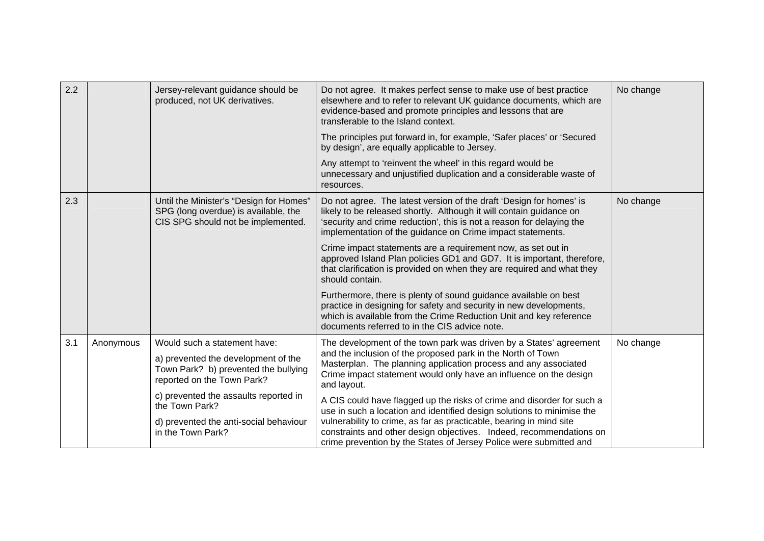| 2.2 |           | Jersey-relevant guidance should be<br>produced, not UK derivatives.                                                   | Do not agree. It makes perfect sense to make use of best practice<br>elsewhere and to refer to relevant UK guidance documents, which are<br>evidence-based and promote principles and lessons that are<br>transferable to the Island context.                                     | No change |
|-----|-----------|-----------------------------------------------------------------------------------------------------------------------|-----------------------------------------------------------------------------------------------------------------------------------------------------------------------------------------------------------------------------------------------------------------------------------|-----------|
|     |           |                                                                                                                       | The principles put forward in, for example, 'Safer places' or 'Secured<br>by design', are equally applicable to Jersey.                                                                                                                                                           |           |
|     |           |                                                                                                                       | Any attempt to 'reinvent the wheel' in this regard would be<br>unnecessary and unjustified duplication and a considerable waste of<br>resources.                                                                                                                                  |           |
| 2.3 |           | Until the Minister's "Design for Homes"<br>SPG (long overdue) is available, the<br>CIS SPG should not be implemented. | Do not agree. The latest version of the draft 'Design for homes' is<br>likely to be released shortly. Although it will contain guidance on<br>'security and crime reduction', this is not a reason for delaying the<br>implementation of the guidance on Crime impact statements. | No change |
|     |           |                                                                                                                       | Crime impact statements are a requirement now, as set out in<br>approved Island Plan policies GD1 and GD7. It is important, therefore,<br>that clarification is provided on when they are required and what they<br>should contain.                                               |           |
|     |           |                                                                                                                       | Furthermore, there is plenty of sound guidance available on best<br>practice in designing for safety and security in new developments,<br>which is available from the Crime Reduction Unit and key reference<br>documents referred to in the CIS advice note.                     |           |
| 3.1 | Anonymous | Would such a statement have:                                                                                          | The development of the town park was driven by a States' agreement                                                                                                                                                                                                                | No change |
|     |           | a) prevented the development of the<br>Town Park? b) prevented the bullying<br>reported on the Town Park?             | and the inclusion of the proposed park in the North of Town<br>Masterplan. The planning application process and any associated<br>Crime impact statement would only have an influence on the design<br>and layout.                                                                |           |
|     |           | c) prevented the assaults reported in<br>the Town Park?                                                               | A CIS could have flagged up the risks of crime and disorder for such a<br>use in such a location and identified design solutions to minimise the                                                                                                                                  |           |
|     |           | d) prevented the anti-social behaviour<br>in the Town Park?                                                           | vulnerability to crime, as far as practicable, bearing in mind site<br>constraints and other design objectives. Indeed, recommendations on<br>crime prevention by the States of Jersey Police were submitted and                                                                  |           |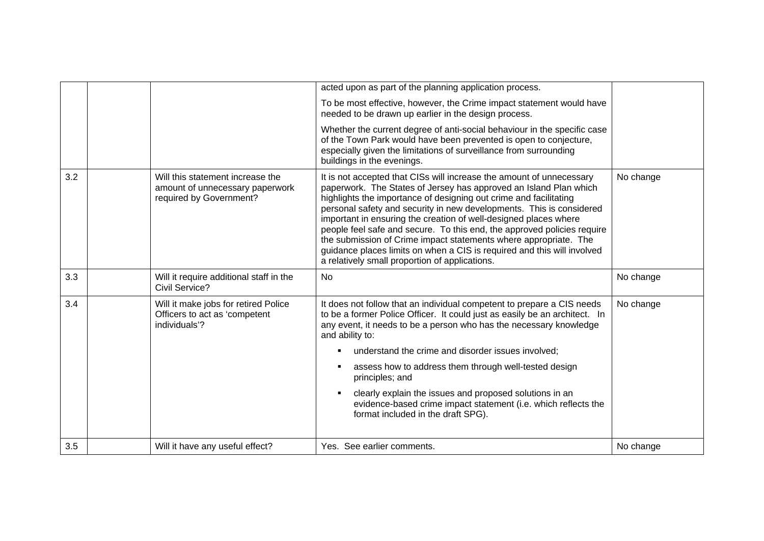|     |                                                                                                | acted upon as part of the planning application process.                                                                                                                                                                                                                                                                                                                                                                                                                                                                                                                                                                                |           |
|-----|------------------------------------------------------------------------------------------------|----------------------------------------------------------------------------------------------------------------------------------------------------------------------------------------------------------------------------------------------------------------------------------------------------------------------------------------------------------------------------------------------------------------------------------------------------------------------------------------------------------------------------------------------------------------------------------------------------------------------------------------|-----------|
|     |                                                                                                | To be most effective, however, the Crime impact statement would have<br>needed to be drawn up earlier in the design process.                                                                                                                                                                                                                                                                                                                                                                                                                                                                                                           |           |
|     |                                                                                                | Whether the current degree of anti-social behaviour in the specific case<br>of the Town Park would have been prevented is open to conjecture,<br>especially given the limitations of surveillance from surrounding<br>buildings in the evenings.                                                                                                                                                                                                                                                                                                                                                                                       |           |
| 3.2 | Will this statement increase the<br>amount of unnecessary paperwork<br>required by Government? | It is not accepted that CISs will increase the amount of unnecessary<br>paperwork. The States of Jersey has approved an Island Plan which<br>highlights the importance of designing out crime and facilitating<br>personal safety and security in new developments. This is considered<br>important in ensuring the creation of well-designed places where<br>people feel safe and secure. To this end, the approved policies require<br>the submission of Crime impact statements where appropriate. The<br>guidance places limits on when a CIS is required and this will involved<br>a relatively small proportion of applications. | No change |
| 3.3 | Will it require additional staff in the<br>Civil Service?                                      | <b>No</b>                                                                                                                                                                                                                                                                                                                                                                                                                                                                                                                                                                                                                              | No change |
| 3.4 | Will it make jobs for retired Police<br>Officers to act as 'competent<br>individuals'?         | It does not follow that an individual competent to prepare a CIS needs<br>to be a former Police Officer. It could just as easily be an architect. In<br>any event, it needs to be a person who has the necessary knowledge<br>and ability to:<br>understand the crime and disorder issues involved;<br>٠                                                                                                                                                                                                                                                                                                                               | No change |
|     |                                                                                                | assess how to address them through well-tested design<br>٠<br>principles; and                                                                                                                                                                                                                                                                                                                                                                                                                                                                                                                                                          |           |
|     |                                                                                                | clearly explain the issues and proposed solutions in an<br>evidence-based crime impact statement (i.e. which reflects the<br>format included in the draft SPG).                                                                                                                                                                                                                                                                                                                                                                                                                                                                        |           |
| 3.5 | Will it have any useful effect?                                                                | Yes. See earlier comments.                                                                                                                                                                                                                                                                                                                                                                                                                                                                                                                                                                                                             | No change |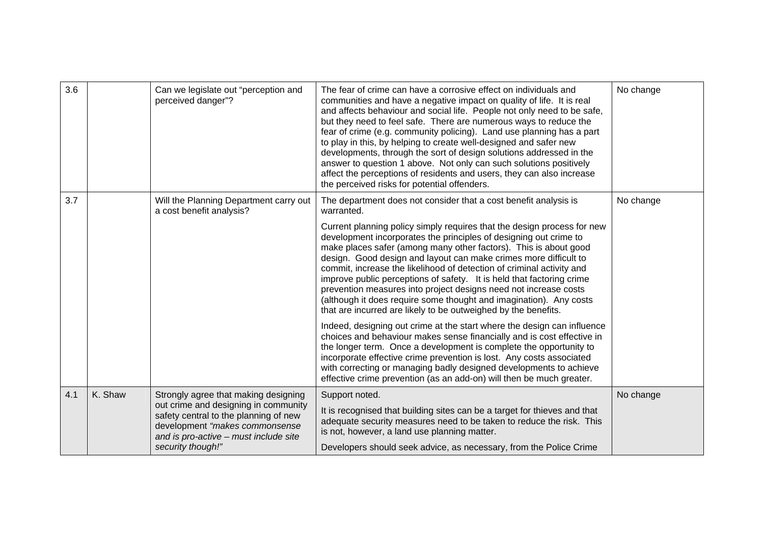| 3.6 |         | Can we legislate out "perception and<br>perceived danger"?                                                                                               | The fear of crime can have a corrosive effect on individuals and<br>communities and have a negative impact on quality of life. It is real<br>and affects behaviour and social life. People not only need to be safe,<br>but they need to feel safe. There are numerous ways to reduce the<br>fear of crime (e.g. community policing). Land use planning has a part<br>to play in this, by helping to create well-designed and safer new<br>developments, through the sort of design solutions addressed in the<br>answer to question 1 above. Not only can such solutions positively<br>affect the perceptions of residents and users, they can also increase<br>the perceived risks for potential offenders. | No change |
|-----|---------|----------------------------------------------------------------------------------------------------------------------------------------------------------|---------------------------------------------------------------------------------------------------------------------------------------------------------------------------------------------------------------------------------------------------------------------------------------------------------------------------------------------------------------------------------------------------------------------------------------------------------------------------------------------------------------------------------------------------------------------------------------------------------------------------------------------------------------------------------------------------------------|-----------|
| 3.7 |         | Will the Planning Department carry out<br>a cost benefit analysis?                                                                                       | The department does not consider that a cost benefit analysis is<br>warranted.                                                                                                                                                                                                                                                                                                                                                                                                                                                                                                                                                                                                                                | No change |
|     |         |                                                                                                                                                          | Current planning policy simply requires that the design process for new<br>development incorporates the principles of designing out crime to<br>make places safer (among many other factors). This is about good<br>design. Good design and layout can make crimes more difficult to<br>commit, increase the likelihood of detection of criminal activity and<br>improve public perceptions of safety. It is held that factoring crime<br>prevention measures into project designs need not increase costs<br>(although it does require some thought and imagination). Any costs<br>that are incurred are likely to be outweighed by the benefits.                                                            |           |
|     |         |                                                                                                                                                          | Indeed, designing out crime at the start where the design can influence<br>choices and behaviour makes sense financially and is cost effective in<br>the longer term. Once a development is complete the opportunity to<br>incorporate effective crime prevention is lost. Any costs associated<br>with correcting or managing badly designed developments to achieve<br>effective crime prevention (as an add-on) will then be much greater.                                                                                                                                                                                                                                                                 |           |
| 4.1 | K. Shaw | Strongly agree that making designing                                                                                                                     | Support noted.                                                                                                                                                                                                                                                                                                                                                                                                                                                                                                                                                                                                                                                                                                | No change |
|     |         | out crime and designing in community<br>safety central to the planning of new<br>development "makes commonsense<br>and is pro-active - must include site | It is recognised that building sites can be a target for thieves and that<br>adequate security measures need to be taken to reduce the risk. This<br>is not, however, a land use planning matter.                                                                                                                                                                                                                                                                                                                                                                                                                                                                                                             |           |
|     |         | security though!"                                                                                                                                        | Developers should seek advice, as necessary, from the Police Crime                                                                                                                                                                                                                                                                                                                                                                                                                                                                                                                                                                                                                                            |           |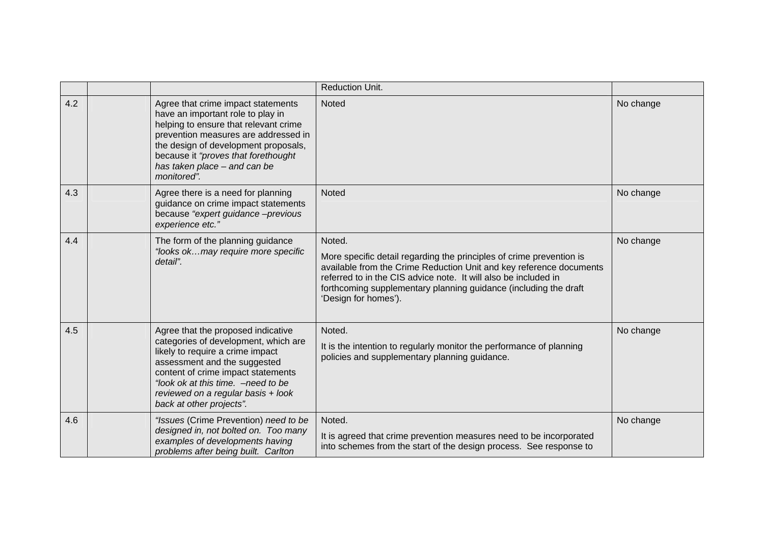|     |                                                                                                                                                                                                                                                                                               | <b>Reduction Unit.</b>                                                                                                                                                                                                                                                                                               |           |
|-----|-----------------------------------------------------------------------------------------------------------------------------------------------------------------------------------------------------------------------------------------------------------------------------------------------|----------------------------------------------------------------------------------------------------------------------------------------------------------------------------------------------------------------------------------------------------------------------------------------------------------------------|-----------|
| 4.2 | Agree that crime impact statements<br>have an important role to play in<br>helping to ensure that relevant crime<br>prevention measures are addressed in<br>the design of development proposals,<br>because it "proves that forethought<br>has taken place - and can be<br>monitored".        | <b>Noted</b>                                                                                                                                                                                                                                                                                                         | No change |
| 4.3 | Agree there is a need for planning<br>guidance on crime impact statements<br>because "expert guidance -previous<br>experience etc."                                                                                                                                                           | <b>Noted</b>                                                                                                                                                                                                                                                                                                         | No change |
| 4.4 | The form of the planning guidance<br>"looks okmay require more specific<br>detail".                                                                                                                                                                                                           | Noted.<br>More specific detail regarding the principles of crime prevention is<br>available from the Crime Reduction Unit and key reference documents<br>referred to in the CIS advice note. It will also be included in<br>forthcoming supplementary planning guidance (including the draft<br>'Design for homes'). | No change |
| 4.5 | Agree that the proposed indicative<br>categories of development, which are<br>likely to require a crime impact<br>assessment and the suggested<br>content of crime impact statements<br>"look ok at this time. - need to be<br>reviewed on a regular basis + look<br>back at other projects". | Noted.<br>It is the intention to regularly monitor the performance of planning<br>policies and supplementary planning guidance.                                                                                                                                                                                      | No change |
| 4.6 | "Issues (Crime Prevention) need to be<br>designed in, not bolted on. Too many<br>examples of developments having<br>problems after being built. Carlton                                                                                                                                       | Noted.<br>It is agreed that crime prevention measures need to be incorporated<br>into schemes from the start of the design process. See response to                                                                                                                                                                  | No change |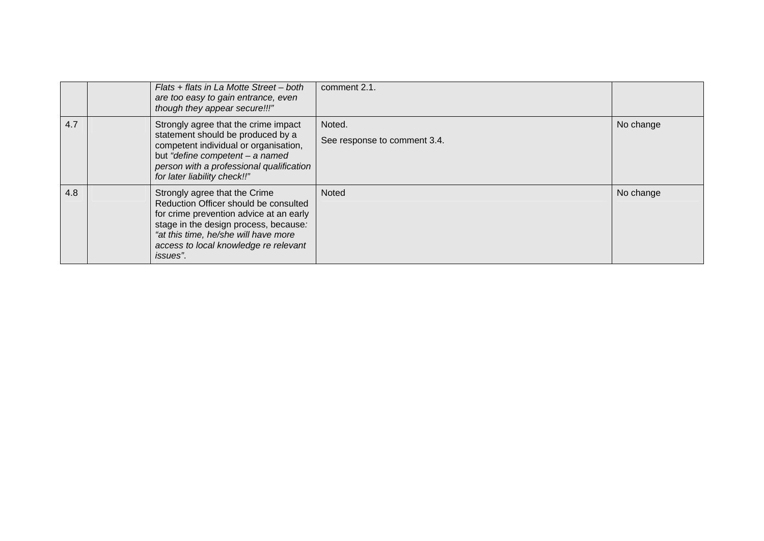|     | Flats + flats in La Motte Street – both<br>are too easy to gain entrance, even<br>though they appear secure!!!"                                                                                                                                                 | comment 2.1.                           |           |
|-----|-----------------------------------------------------------------------------------------------------------------------------------------------------------------------------------------------------------------------------------------------------------------|----------------------------------------|-----------|
| 4.7 | Strongly agree that the crime impact<br>statement should be produced by a<br>competent individual or organisation,<br>but "define competent - a named<br>person with a professional qualification<br>for later liability check!!"                               | Noted.<br>See response to comment 3.4. | No change |
| 4.8 | Strongly agree that the Crime<br>Reduction Officer should be consulted<br>for crime prevention advice at an early<br>stage in the design process, because:<br>"at this time, he/she will have more<br>access to local knowledge re relevant<br><i>issues</i> ". | <b>Noted</b>                           | No change |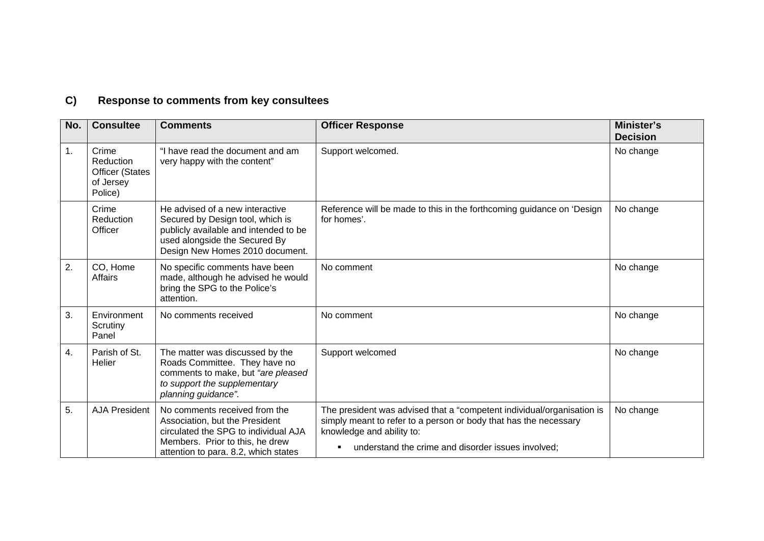# **C) Response to comments from key consultees**

| No. | <b>Consultee</b>                                                     | <b>Comments</b>                                                                                                                                                                    | <b>Officer Response</b>                                                                                                                                                                                                                         | Minister's<br><b>Decision</b> |
|-----|----------------------------------------------------------------------|------------------------------------------------------------------------------------------------------------------------------------------------------------------------------------|-------------------------------------------------------------------------------------------------------------------------------------------------------------------------------------------------------------------------------------------------|-------------------------------|
| 1.  | Crime<br>Reduction<br><b>Officer (States</b><br>of Jersey<br>Police) | "I have read the document and am<br>very happy with the content"                                                                                                                   | Support welcomed.                                                                                                                                                                                                                               | No change                     |
|     | Crime<br>Reduction<br>Officer                                        | He advised of a new interactive<br>Secured by Design tool, which is<br>publicly available and intended to be<br>used alongside the Secured By<br>Design New Homes 2010 document.   | Reference will be made to this in the forthcoming guidance on 'Design<br>for homes'.                                                                                                                                                            | No change                     |
| 2.  | CO, Home<br>Affairs                                                  | No specific comments have been<br>made, although he advised he would<br>bring the SPG to the Police's<br>attention.                                                                | No comment                                                                                                                                                                                                                                      | No change                     |
| 3.  | Environment<br>Scrutiny<br>Panel                                     | No comments received                                                                                                                                                               | No comment                                                                                                                                                                                                                                      | No change                     |
| 4.  | Parish of St.<br>Helier                                              | The matter was discussed by the<br>Roads Committee. They have no<br>comments to make, but "are pleased<br>to support the supplementary<br>planning guidance".                      | Support welcomed                                                                                                                                                                                                                                | No change                     |
| 5.  | <b>AJA President</b>                                                 | No comments received from the<br>Association, but the President<br>circulated the SPG to individual AJA<br>Members. Prior to this, he drew<br>attention to para. 8.2, which states | The president was advised that a "competent individual/organisation is<br>simply meant to refer to a person or body that has the necessary<br>knowledge and ability to:<br>understand the crime and disorder issues involved;<br>$\blacksquare$ | No change                     |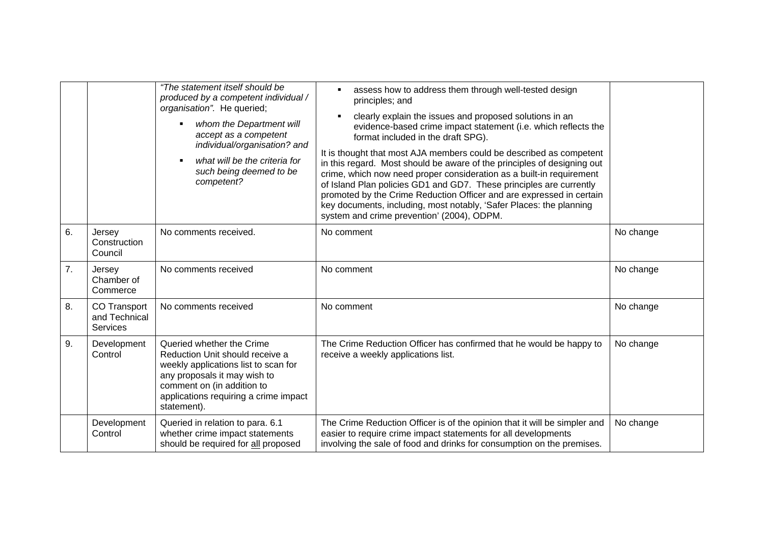|    |                                                  | "The statement itself should be<br>produced by a competent individual /<br>organisation". He queried;<br>whom the Department will<br>accept as a competent<br>individual/organisation? and<br>what will be the criteria for<br>such being deemed to be<br>competent? | assess how to address them through well-tested design<br>$\blacksquare$<br>principles; and<br>clearly explain the issues and proposed solutions in an<br>$\blacksquare$<br>evidence-based crime impact statement (i.e. which reflects the<br>format included in the draft SPG).<br>It is thought that most AJA members could be described as competent<br>in this regard. Most should be aware of the principles of designing out<br>crime, which now need proper consideration as a built-in requirement<br>of Island Plan policies GD1 and GD7. These principles are currently<br>promoted by the Crime Reduction Officer and are expressed in certain<br>key documents, including, most notably, 'Safer Places: the planning<br>system and crime prevention' (2004), ODPM. |           |
|----|--------------------------------------------------|----------------------------------------------------------------------------------------------------------------------------------------------------------------------------------------------------------------------------------------------------------------------|-------------------------------------------------------------------------------------------------------------------------------------------------------------------------------------------------------------------------------------------------------------------------------------------------------------------------------------------------------------------------------------------------------------------------------------------------------------------------------------------------------------------------------------------------------------------------------------------------------------------------------------------------------------------------------------------------------------------------------------------------------------------------------|-----------|
| 6. | Jersey<br>Construction<br>Council                | No comments received.                                                                                                                                                                                                                                                | No comment                                                                                                                                                                                                                                                                                                                                                                                                                                                                                                                                                                                                                                                                                                                                                                    | No change |
| 7. | Jersey<br>Chamber of<br>Commerce                 | No comments received                                                                                                                                                                                                                                                 | No comment                                                                                                                                                                                                                                                                                                                                                                                                                                                                                                                                                                                                                                                                                                                                                                    | No change |
| 8. | <b>CO Transport</b><br>and Technical<br>Services | No comments received                                                                                                                                                                                                                                                 | No comment                                                                                                                                                                                                                                                                                                                                                                                                                                                                                                                                                                                                                                                                                                                                                                    | No change |
| 9. | Development<br>Control                           | Queried whether the Crime<br>Reduction Unit should receive a<br>weekly applications list to scan for<br>any proposals it may wish to<br>comment on (in addition to<br>applications requiring a crime impact<br>statement).                                           | The Crime Reduction Officer has confirmed that he would be happy to<br>receive a weekly applications list.                                                                                                                                                                                                                                                                                                                                                                                                                                                                                                                                                                                                                                                                    | No change |
|    | Development<br>Control                           | Queried in relation to para. 6.1<br>whether crime impact statements<br>should be required for all proposed                                                                                                                                                           | The Crime Reduction Officer is of the opinion that it will be simpler and<br>easier to require crime impact statements for all developments<br>involving the sale of food and drinks for consumption on the premises.                                                                                                                                                                                                                                                                                                                                                                                                                                                                                                                                                         | No change |